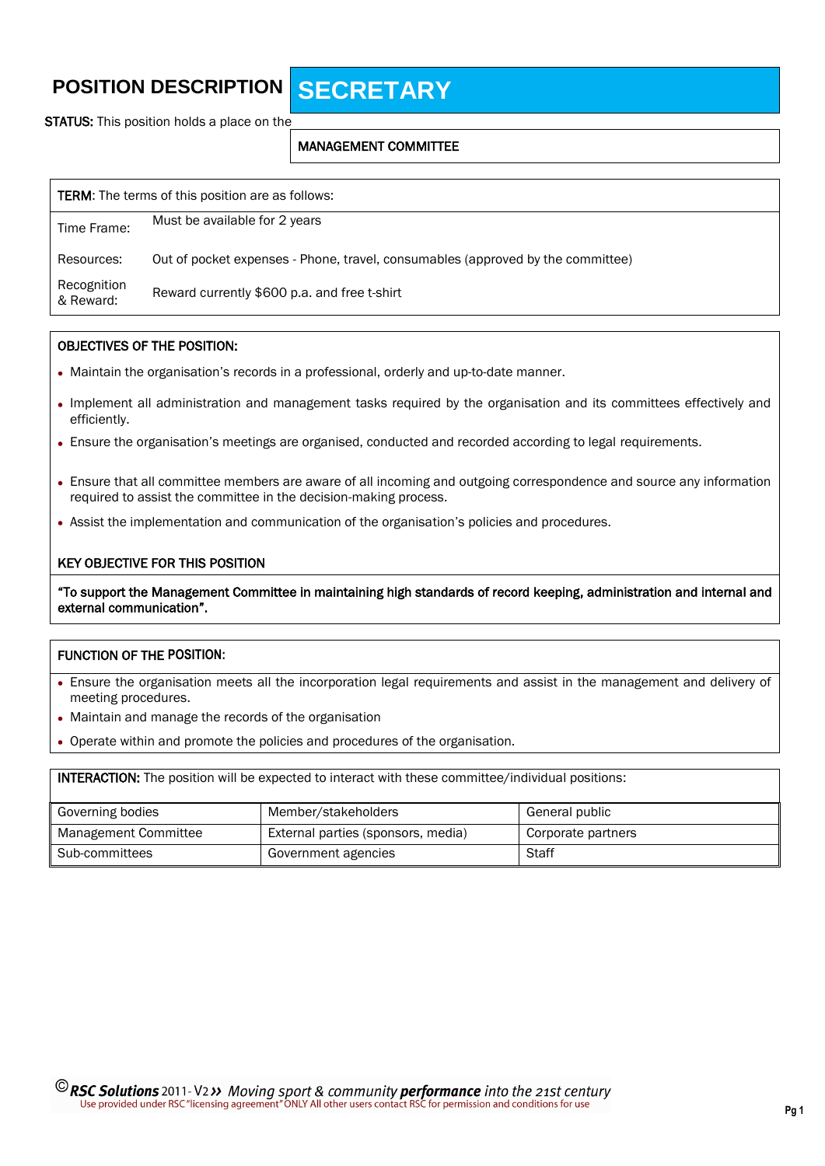# **POSITION DESCRIPTION SECRETARY**

**STATUS:** This position holds a place on the

### MANAGEMENT COMMITTEE

| <b>TERM:</b> The terms of this position are as follows: |                                                                                 |  |  |
|---------------------------------------------------------|---------------------------------------------------------------------------------|--|--|
| Time Frame:                                             | Must be available for 2 years                                                   |  |  |
| Resources:                                              | Out of pocket expenses - Phone, travel, consumables (approved by the committee) |  |  |
| Recognition<br>& Reward:                                | Reward currently \$600 p.a. and free t-shirt                                    |  |  |

#### OBJECTIVES OF THE POSITION:

- Maintain the organisation's records in a professional, orderly and up-to-date manner.
- Implement all administration and management tasks required by the organisation and its committees effectively and efficiently.
- Ensure the organisation's meetings are organised, conducted and recorded according to legal requirements.
- Ensure that all committee members are aware of all incoming and outgoing correspondence and source any information required to assist the committee in the decision-making process.
- Assist the implementation and communication of the organisation's policies and procedures.

#### KEY OBJECTIVE FOR THIS POSITION

"To support the Management Committee in maintaining high standards of record keeping, administration and internal and external communication".

### FUNCTION OF THE **POSITION:**

- Ensure the organisation meets all the incorporation legal requirements and assist in the management and delivery of meeting procedures.
- Maintain and manage the records of the organisation
- Operate within and promote the policies and procedures of the organisation.

INTERACTION: The position will be expected to interact with these committee/individual positions:

| Governing bodies     | Member/stakeholders                | General public     |
|----------------------|------------------------------------|--------------------|
| Management Committee | External parties (sponsors, media) | Corporate partners |
| Sub-committees       | Government agencies                | Staff              |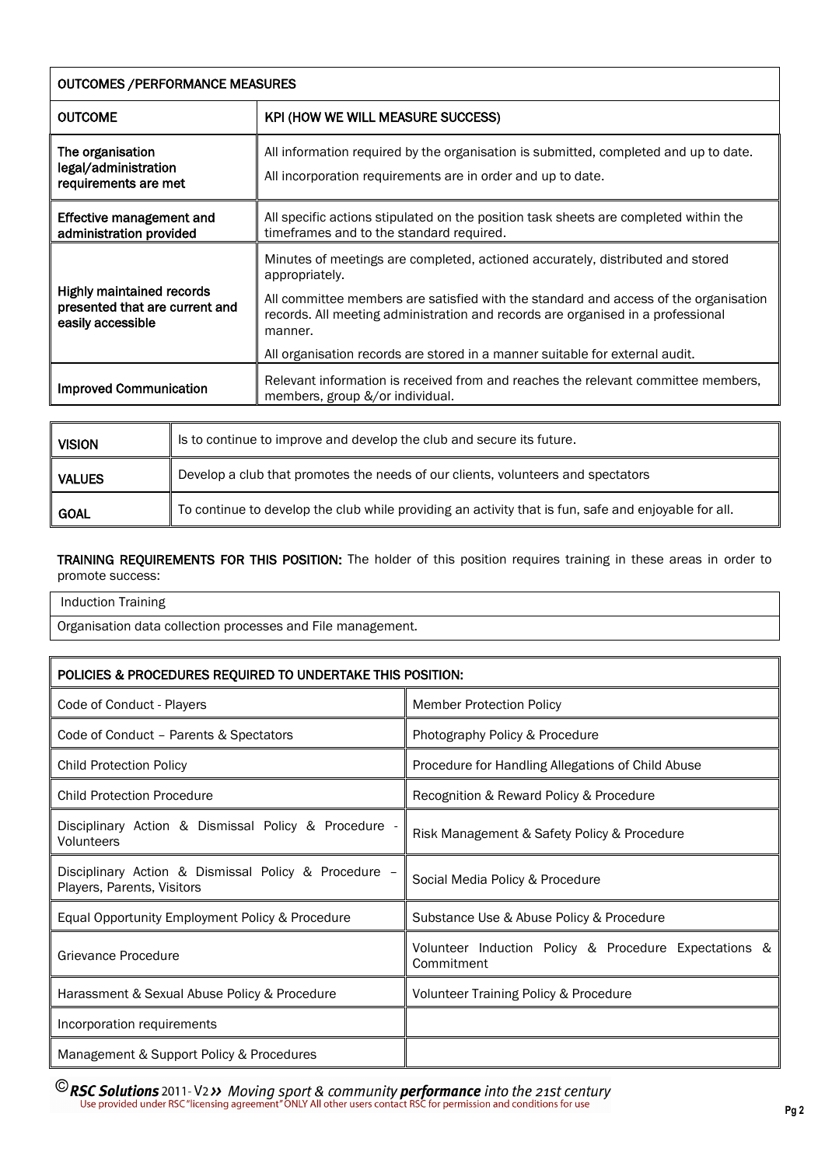| <b>OUTCOMES / PERFORMANCE MEASURES</b>                                                  |                                                                                                                                                                                                                                                                                                                                                                        |  |
|-----------------------------------------------------------------------------------------|------------------------------------------------------------------------------------------------------------------------------------------------------------------------------------------------------------------------------------------------------------------------------------------------------------------------------------------------------------------------|--|
| <b>OUTCOME</b>                                                                          | KPI (HOW WE WILL MEASURE SUCCESS)                                                                                                                                                                                                                                                                                                                                      |  |
| The organisation<br>legal/administration<br>requirements are met                        | All information required by the organisation is submitted, completed and up to date.<br>All incorporation requirements are in order and up to date.                                                                                                                                                                                                                    |  |
| Effective management and<br>administration provided                                     | All specific actions stipulated on the position task sheets are completed within the<br>timeframes and to the standard required.                                                                                                                                                                                                                                       |  |
| <b>Highly maintained records</b><br>presented that are current and<br>easily accessible | Minutes of meetings are completed, actioned accurately, distributed and stored<br>appropriately.<br>All committee members are satisfied with the standard and access of the organisation<br>records. All meeting administration and records are organised in a professional<br>manner.<br>All organisation records are stored in a manner suitable for external audit. |  |
| <b>Improved Communication</b>                                                           | Relevant information is received from and reaches the relevant committee members,<br>members, group &/or individual.                                                                                                                                                                                                                                                   |  |

| <b>VISION</b> | Is to continue to improve and develop the club and secure its future.                                |
|---------------|------------------------------------------------------------------------------------------------------|
| <b>VALUES</b> | Develop a club that promotes the needs of our clients, volunteers and spectators                     |
| <b>GOAL</b>   | To continue to develop the club while providing an activity that is fun, safe and enjoyable for all. |

# TRAINING REQUIREMENTS FOR THIS POSITION: The holder of this position requires training in these areas in order to promote success:

Induction Training

Organisation data collection processes and File management.

| POLICIES & PROCEDURES REQUIRED TO UNDERTAKE THIS POSITION:                         |                                                                     |  |  |  |
|------------------------------------------------------------------------------------|---------------------------------------------------------------------|--|--|--|
| Code of Conduct - Players                                                          | <b>Member Protection Policy</b>                                     |  |  |  |
| Code of Conduct - Parents & Spectators                                             | Photography Policy & Procedure                                      |  |  |  |
| <b>Child Protection Policy</b>                                                     | Procedure for Handling Allegations of Child Abuse                   |  |  |  |
| <b>Child Protection Procedure</b>                                                  | Recognition & Reward Policy & Procedure                             |  |  |  |
| Disciplinary Action & Dismissal Policy & Procedure -<br>Volunteers                 | Risk Management & Safety Policy & Procedure                         |  |  |  |
| Disciplinary Action & Dismissal Policy & Procedure -<br>Players, Parents, Visitors | Social Media Policy & Procedure                                     |  |  |  |
| Equal Opportunity Employment Policy & Procedure                                    | Substance Use & Abuse Policy & Procedure                            |  |  |  |
| Grievance Procedure                                                                | Volunteer Induction Policy & Procedure Expectations &<br>Commitment |  |  |  |
| Harassment & Sexual Abuse Policy & Procedure                                       | Volunteer Training Policy & Procedure                               |  |  |  |
| Incorporation requirements                                                         |                                                                     |  |  |  |
| Management & Support Policy & Procedures                                           |                                                                     |  |  |  |

**C** RSC Solutions 2011-V2 >> Moving sport & community performance into the 21st century<br>Use provided under RSC "licensing agreement" ONLY All other users contact RSC for permission and conditions for use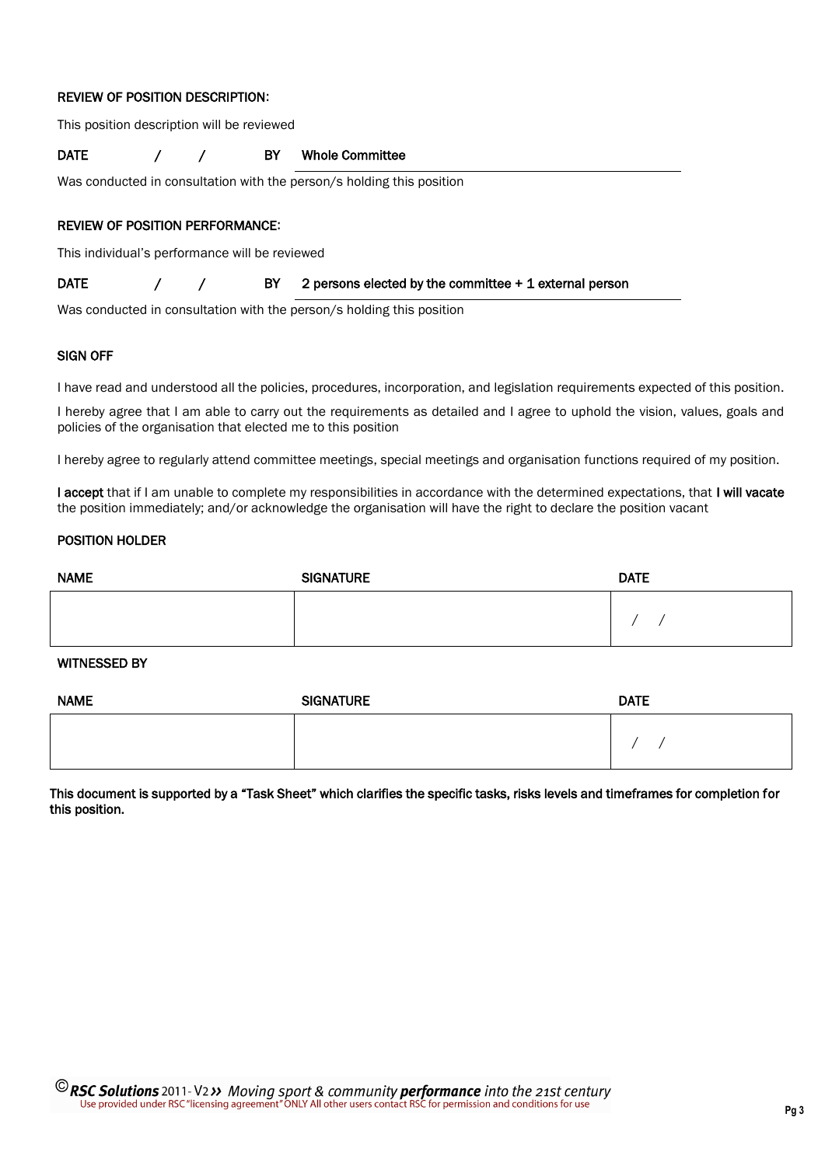#### REVIEW OF POSITION DESCRIPTION**:**

This position description will be reviewed

DATE / / BY Whole Committee

Was conducted in consultation with the person/s holding this position

#### REVIEW OF POSITION PERFORMANCE**:**

This individual's performance will be reviewed

DATE  $/$  / BY 2 persons elected by the committee + 1 external person

Was conducted in consultation with the person/s holding this position

#### SIGN OFF

I have read and understood all the policies, procedures, incorporation, and legislation requirements expected of this position.

I hereby agree that I am able to carry out the requirements as detailed and I agree to uphold the vision, values, goals and policies of the organisation that elected me to this position

I hereby agree to regularly attend committee meetings, special meetings and organisation functions required of my position.

I accept that if I am unable to complete my responsibilities in accordance with the determined expectations, that I will vacate the position immediately; and/or acknowledge the organisation will have the right to declare the position vacant

### POSITION HOLDER

| <b>NAME</b> | <b>SIGNATURE</b> | <b>DATE</b> |
|-------------|------------------|-------------|
|             |                  |             |

# WITNESSED BY

| <b>NAME</b> | <b>DATE</b><br><b>SIGNATURE</b> |  |
|-------------|---------------------------------|--|
|             |                                 |  |

This document is supported by a "Task Sheet" which clarifies the specific tasks, risks levels and timeframes for completion for this position.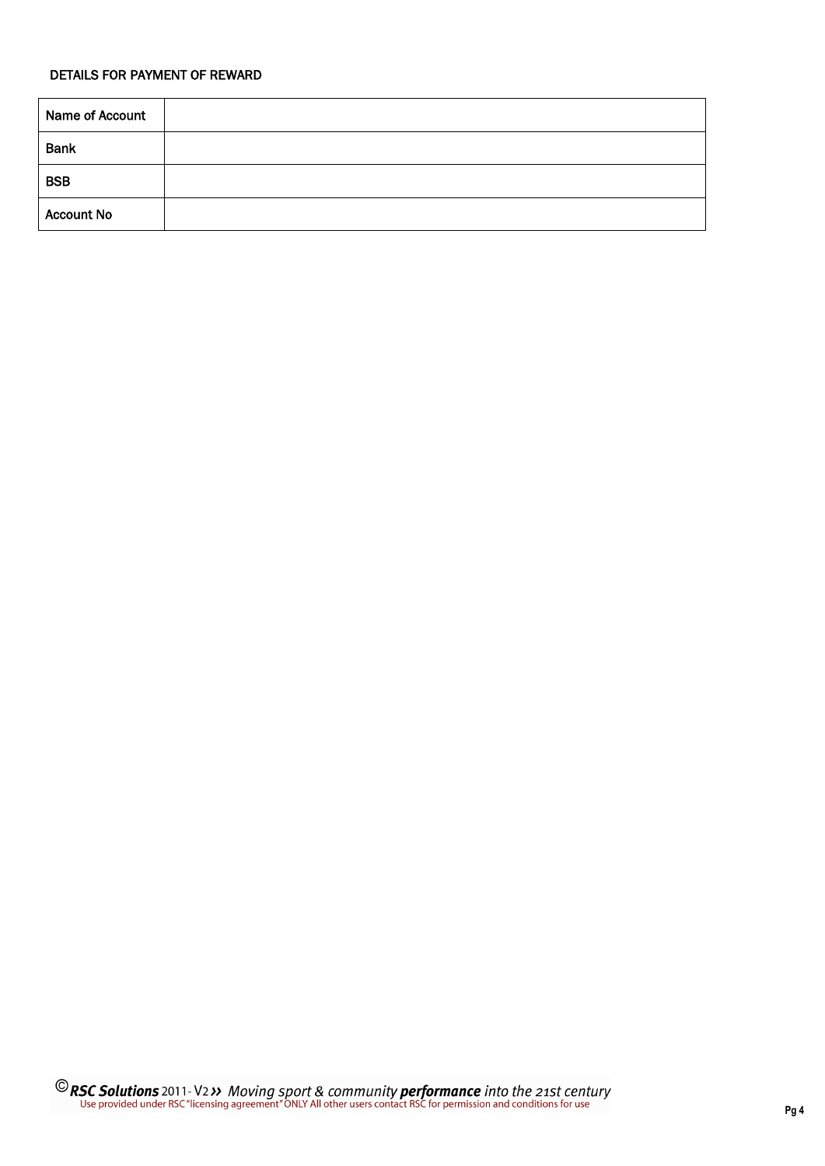# DETAILS FOR PAYMENT OF REWARD

| Name of Account   |  |
|-------------------|--|
| <b>Bank</b>       |  |
| <b>BSB</b>        |  |
| <b>Account No</b> |  |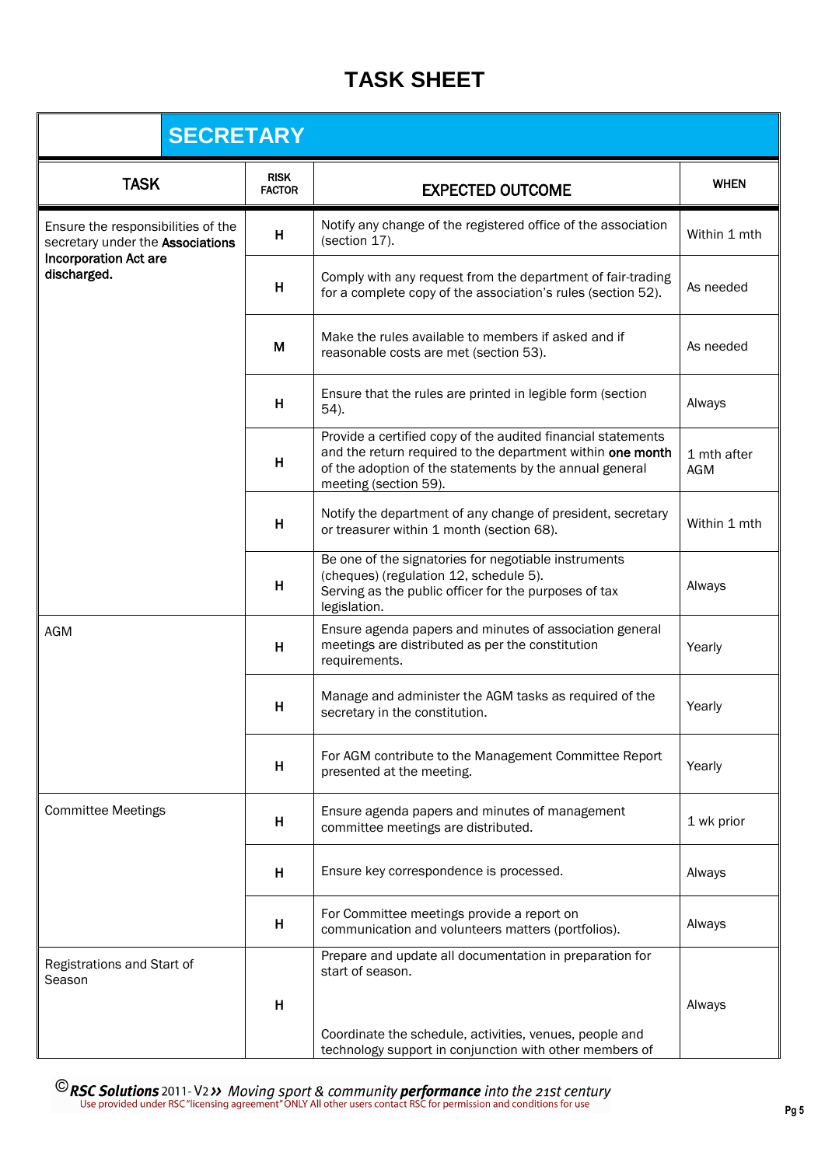# **TASK SHEET**

| <b>SECRETARY</b>                                                       |                              |                                                                                                                                                                                                                |                           |
|------------------------------------------------------------------------|------------------------------|----------------------------------------------------------------------------------------------------------------------------------------------------------------------------------------------------------------|---------------------------|
| <b>TASK</b>                                                            | <b>RISK</b><br><b>FACTOR</b> | <b>EXPECTED OUTCOME</b>                                                                                                                                                                                        | <b>WHEN</b>               |
| Ensure the responsibilities of the<br>secretary under the Associations | $\boldsymbol{\mathsf{H}}$    | Notify any change of the registered office of the association<br>(section 17).                                                                                                                                 | Within 1 mth              |
| <b>Incorporation Act are</b><br>discharged.                            | H                            | Comply with any request from the department of fair-trading<br>for a complete copy of the association's rules (section 52).                                                                                    | As needed                 |
|                                                                        | M                            | Make the rules available to members if asked and if<br>reasonable costs are met (section 53).                                                                                                                  | As needed                 |
|                                                                        | H                            | Ensure that the rules are printed in legible form (section<br>54).                                                                                                                                             | Always                    |
|                                                                        | H                            | Provide a certified copy of the audited financial statements<br>and the return required to the department within one month<br>of the adoption of the statements by the annual general<br>meeting (section 59). | 1 mth after<br><b>AGM</b> |
|                                                                        | H                            | Notify the department of any change of president, secretary<br>or treasurer within 1 month (section 68).                                                                                                       | Within 1 mth              |
|                                                                        | H                            | Be one of the signatories for negotiable instruments<br>(cheques) (regulation 12, schedule 5).<br>Serving as the public officer for the purposes of tax<br>legislation.                                        | Always                    |
| AGM                                                                    | H                            | Ensure agenda papers and minutes of association general<br>meetings are distributed as per the constitution<br>requirements.                                                                                   | Yearly                    |
|                                                                        | Н                            | Manage and administer the AGM tasks as required of the<br>secretary in the constitution.                                                                                                                       | Yearly                    |
|                                                                        | H                            | For AGM contribute to the Management Committee Report<br>presented at the meeting.                                                                                                                             | Yearly                    |
| <b>Committee Meetings</b>                                              | н                            | Ensure agenda papers and minutes of management<br>committee meetings are distributed.                                                                                                                          | 1 wk prior                |
|                                                                        | H                            | Ensure key correspondence is processed.                                                                                                                                                                        | Always                    |
|                                                                        | H                            | For Committee meetings provide a report on<br>communication and volunteers matters (portfolios).                                                                                                               | Always                    |
| Registrations and Start of<br>Season                                   | н                            | Prepare and update all documentation in preparation for<br>start of season.<br>Coordinate the schedule, activities, venues, people and<br>technology support in conjunction with other members of              | Always                    |

**C** RSC Solutions 2011-V2 >> Moving sport & community performance into the 21st century Use provided under RSC "licensing agreement" ONLY All other users contact RSC for permission and conditions for use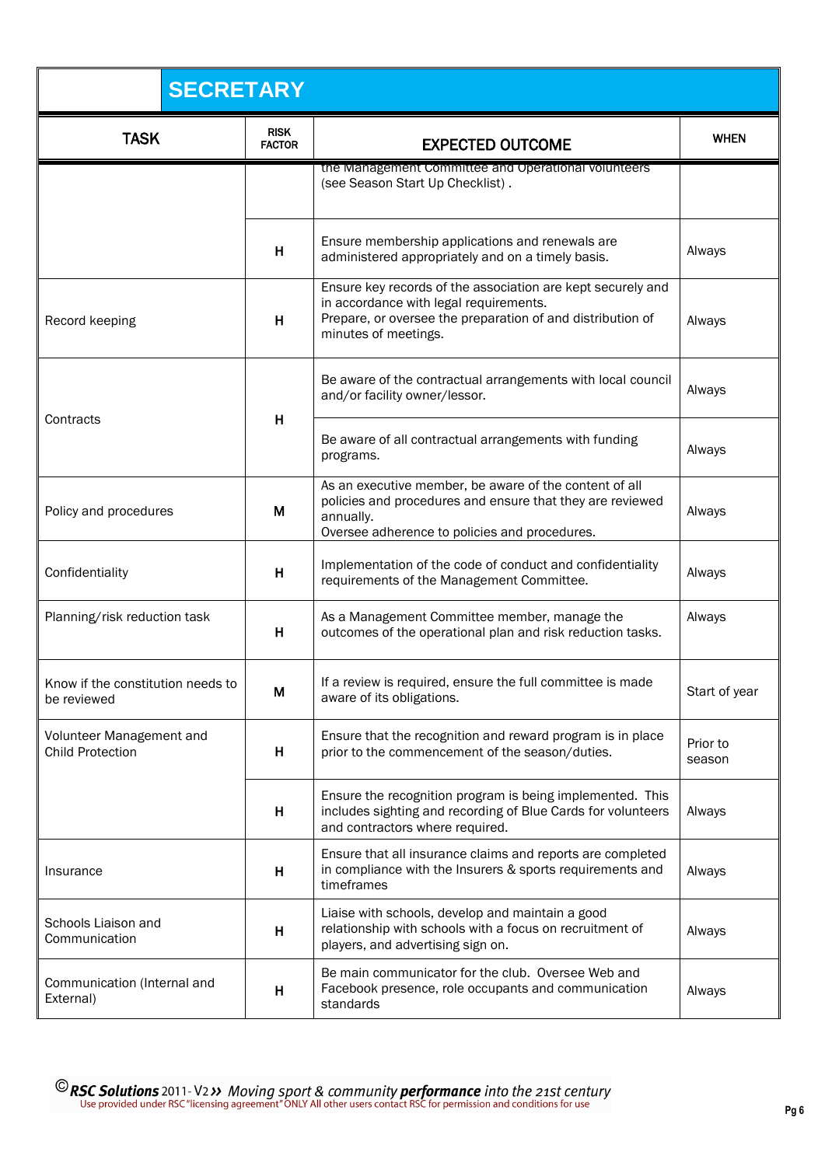| <b>SECRETARY</b>                                    |                              |                                                                                                                                                                                             |                    |
|-----------------------------------------------------|------------------------------|---------------------------------------------------------------------------------------------------------------------------------------------------------------------------------------------|--------------------|
| <b>TASK</b>                                         | <b>RISK</b><br><b>FACTOR</b> | <b>EXPECTED OUTCOME</b>                                                                                                                                                                     | <b>WHEN</b>        |
|                                                     |                              | the Management Committee and Operational volunteers<br>(see Season Start Up Checklist).                                                                                                     |                    |
|                                                     | H                            | Ensure membership applications and renewals are<br>administered appropriately and on a timely basis.                                                                                        | Always             |
| Record keeping                                      | H                            | Ensure key records of the association are kept securely and<br>in accordance with legal requirements.<br>Prepare, or oversee the preparation of and distribution of<br>minutes of meetings. | Always             |
|                                                     |                              | Be aware of the contractual arrangements with local council<br>and/or facility owner/lessor.                                                                                                | Always             |
| Contracts                                           | н                            | Be aware of all contractual arrangements with funding<br>programs.                                                                                                                          | Always             |
| Policy and procedures                               | M                            | As an executive member, be aware of the content of all<br>policies and procedures and ensure that they are reviewed<br>annually.<br>Oversee adherence to policies and procedures.           | Always             |
| Confidentiality                                     | Н                            | Implementation of the code of conduct and confidentiality<br>requirements of the Management Committee.                                                                                      | Always             |
| Planning/risk reduction task                        | н                            | As a Management Committee member, manage the<br>outcomes of the operational plan and risk reduction tasks.                                                                                  | Always             |
| Know if the constitution needs to<br>be reviewed    | М                            | If a review is required, ensure the full committee is made<br>aware of its obligations.                                                                                                     | Start of year      |
| Volunteer Management and<br><b>Child Protection</b> | н                            | Ensure that the recognition and reward program is in place<br>prior to the commencement of the season/duties.                                                                               | Prior to<br>season |
|                                                     | H                            | Ensure the recognition program is being implemented. This<br>includes sighting and recording of Blue Cards for volunteers<br>and contractors where required.                                | Always             |
| Insurance                                           | H                            | Ensure that all insurance claims and reports are completed<br>in compliance with the Insurers & sports requirements and<br>timeframes                                                       | Always             |
| Schools Liaison and<br>Communication                | H                            | Liaise with schools, develop and maintain a good<br>relationship with schools with a focus on recruitment of<br>players, and advertising sign on.                                           | Always             |
| Communication (Internal and<br>External)            | н                            | Be main communicator for the club. Oversee Web and<br>Facebook presence, role occupants and communication<br>standards                                                                      | Always             |